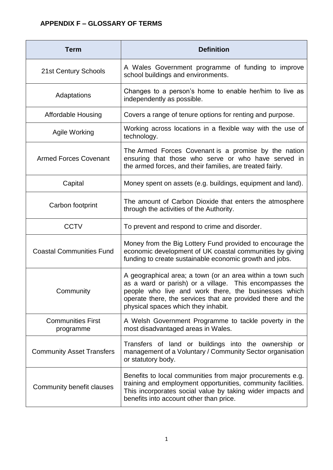## **APPENDIX F – GLOSSARY OF TERMS**

| <b>Term</b>                           | <b>Definition</b>                                                                                                                                                                                                                                                                   |
|---------------------------------------|-------------------------------------------------------------------------------------------------------------------------------------------------------------------------------------------------------------------------------------------------------------------------------------|
| 21st Century Schools                  | A Wales Government programme of funding to improve<br>school buildings and environments.                                                                                                                                                                                            |
| Adaptations                           | Changes to a person's home to enable her/him to live as<br>independently as possible.                                                                                                                                                                                               |
| <b>Affordable Housing</b>             | Covers a range of tenure options for renting and purpose.                                                                                                                                                                                                                           |
| Agile Working                         | Working across locations in a flexible way with the use of<br>technology.                                                                                                                                                                                                           |
| <b>Armed Forces Covenant</b>          | The Armed Forces Covenant is a promise by the nation<br>ensuring that those who serve or who have served in<br>the armed forces, and their families, are treated fairly.                                                                                                            |
| Capital                               | Money spent on assets (e.g. buildings, equipment and land).                                                                                                                                                                                                                         |
| Carbon footprint                      | The amount of Carbon Dioxide that enters the atmosphere<br>through the activities of the Authority.                                                                                                                                                                                 |
| <b>CCTV</b>                           | To prevent and respond to crime and disorder.                                                                                                                                                                                                                                       |
| <b>Coastal Communities Fund</b>       | Money from the Big Lottery Fund provided to encourage the<br>economic development of UK coastal communities by giving<br>funding to create sustainable economic growth and jobs.                                                                                                    |
| Community                             | A geographical area; a town (or an area within a town such<br>as a ward or parish) or a village. This encompasses the<br>people who live and work there, the businesses which<br>operate there, the services that are provided there and the<br>physical spaces which they inhabit. |
| <b>Communities First</b><br>programme | A Welsh Government Programme to tackle poverty in the<br>most disadvantaged areas in Wales.                                                                                                                                                                                         |
| <b>Community Asset Transfers</b>      | Transfers of land or buildings into the ownership or<br>management of a Voluntary / Community Sector organisation<br>or statutory body.                                                                                                                                             |
| Community benefit clauses             | Benefits to local communities from major procurements e.g.<br>training and employment opportunities, community facilities.<br>This incorporates social value by taking wider impacts and<br>benefits into account other than price.                                                 |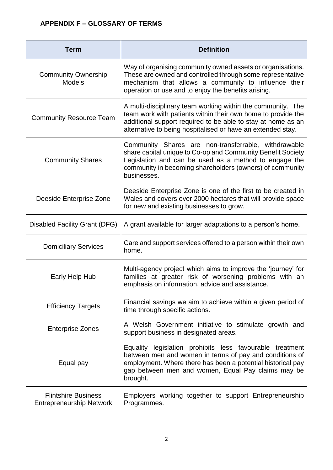| Term                                                          | <b>Definition</b>                                                                                                                                                                                                                                          |
|---------------------------------------------------------------|------------------------------------------------------------------------------------------------------------------------------------------------------------------------------------------------------------------------------------------------------------|
| <b>Community Ownership</b><br><b>Models</b>                   | Way of organising community owned assets or organisations.<br>These are owned and controlled through some representative<br>mechanism that allows a community to influence their<br>operation or use and to enjoy the benefits arising.                    |
| <b>Community Resource Team</b>                                | A multi-disciplinary team working within the community. The<br>team work with patients within their own home to provide the<br>additional support required to be able to stay at home as an<br>alternative to being hospitalised or have an extended stay. |
| <b>Community Shares</b>                                       | Community Shares are non-transferrable, withdrawable<br>share capital unique to Co-op and Community Benefit Society<br>Legislation and can be used as a method to engage the<br>community in becoming shareholders (owners) of community<br>businesses.    |
| Deeside Enterprise Zone                                       | Deeside Enterprise Zone is one of the first to be created in<br>Wales and covers over 2000 hectares that will provide space<br>for new and existing businesses to grow.                                                                                    |
| Disabled Facility Grant (DFG)                                 | A grant available for larger adaptations to a person's home.                                                                                                                                                                                               |
| <b>Domiciliary Services</b>                                   | Care and support services offered to a person within their own<br>home.                                                                                                                                                                                    |
| Early Help Hub                                                | Multi-agency project which aims to improve the 'journey' for<br>families at greater risk of worsening problems with an<br>emphasis on information, advice and assistance.                                                                                  |
| <b>Efficiency Targets</b>                                     | Financial savings we aim to achieve within a given period of<br>time through specific actions.                                                                                                                                                             |
| <b>Enterprise Zones</b>                                       | A Welsh Government initiative to stimulate growth and<br>support business in designated areas.                                                                                                                                                             |
| Equal pay                                                     | Equality legislation prohibits less favourable treatment<br>between men and women in terms of pay and conditions of<br>employment. Where there has been a potential historical pay<br>gap between men and women, Equal Pay claims may be<br>brought.       |
| <b>Flintshire Business</b><br><b>Entrepreneurship Network</b> | Employers working together to support Entrepreneurship<br>Programmes.                                                                                                                                                                                      |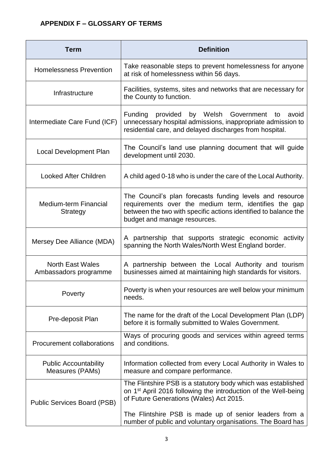## **APPENDIX F – GLOSSARY OF TERMS**

| <b>Term</b>                                      | <b>Definition</b>                                                                                                                                                                                                    |
|--------------------------------------------------|----------------------------------------------------------------------------------------------------------------------------------------------------------------------------------------------------------------------|
| <b>Homelessness Prevention</b>                   | Take reasonable steps to prevent homelessness for anyone<br>at risk of homelessness within 56 days.                                                                                                                  |
| Infrastructure                                   | Facilities, systems, sites and networks that are necessary for<br>the County to function.                                                                                                                            |
| Intermediate Care Fund (ICF)                     | Funding<br>by Welsh Government<br>provided<br>avoid<br>to<br>unnecessary hospital admissions, inappropriate admission to<br>residential care, and delayed discharges from hospital.                                  |
| <b>Local Development Plan</b>                    | The Council's land use planning document that will guide<br>development until 2030.                                                                                                                                  |
| <b>Looked After Children</b>                     | A child aged 0-18 who is under the care of the Local Authority.                                                                                                                                                      |
| Medium-term Financial<br><b>Strategy</b>         | The Council's plan forecasts funding levels and resource<br>requirements over the medium term, identifies the gap<br>between the two with specific actions identified to balance the<br>budget and manage resources. |
| Mersey Dee Alliance (MDA)                        | A partnership that supports strategic economic activity<br>spanning the North Wales/North West England border.                                                                                                       |
| <b>North East Wales</b><br>Ambassadors programme | A partnership between the Local Authority and tourism<br>businesses aimed at maintaining high standards for visitors.                                                                                                |
| Poverty                                          | Poverty is when your resources are well below your minimum<br>needs.                                                                                                                                                 |
| Pre-deposit Plan                                 | The name for the draft of the Local Development Plan (LDP)<br>before it is formally submitted to Wales Government.                                                                                                   |
| Procurement collaborations                       | Ways of procuring goods and services within agreed terms<br>and conditions.                                                                                                                                          |
| <b>Public Accountability</b><br>Measures (PAMs)  | Information collected from every Local Authority in Wales to<br>measure and compare performance.                                                                                                                     |
| <b>Public Services Board (PSB)</b>               | The Flintshire PSB is a statutory body which was established<br>on 1 <sup>st</sup> April 2016 following the introduction of the Well-being<br>of Future Generations (Wales) Act 2015.                                |
|                                                  | The Flintshire PSB is made up of senior leaders from a<br>number of public and voluntary organisations. The Board has                                                                                                |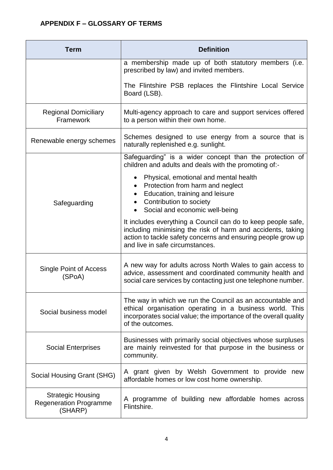| <b>Term</b>                                                          | <b>Definition</b>                                                                                                                                                                                                              |
|----------------------------------------------------------------------|--------------------------------------------------------------------------------------------------------------------------------------------------------------------------------------------------------------------------------|
|                                                                      | a membership made up of both statutory members (i.e.<br>prescribed by law) and invited members.                                                                                                                                |
|                                                                      | The Flintshire PSB replaces the Flintshire Local Service<br>Board (LSB).                                                                                                                                                       |
| <b>Regional Domiciliary</b><br>Framework                             | Multi-agency approach to care and support services offered<br>to a person within their own home.                                                                                                                               |
| Renewable energy schemes                                             | Schemes designed to use energy from a source that is<br>naturally replenished e.g. sunlight.                                                                                                                                   |
| Safeguarding                                                         | Safeguarding" is a wider concept than the protection of<br>children and adults and deals with the promoting of:-                                                                                                               |
|                                                                      | Physical, emotional and mental health<br>Protection from harm and neglect<br>Education, training and leisure<br>Contribution to society<br>$\bullet$<br>• Social and economic well-being                                       |
|                                                                      | It includes everything a Council can do to keep people safe,<br>including minimising the risk of harm and accidents, taking<br>action to tackle safety concerns and ensuring people grow up<br>and live in safe circumstances. |
| Single Point of Access<br>(SPoA)                                     | A new way for adults across North Wales to gain access to<br>advice, assessment and coordinated community health and<br>social care services by contacting just one telephone number.                                          |
| Social business model                                                | The way in which we run the Council as an accountable and<br>ethical organisation operating in a business world. This<br>incorporates social value; the importance of the overall quality<br>of the outcomes.                  |
| <b>Social Enterprises</b>                                            | Businesses with primarily social objectives whose surpluses<br>are mainly reinvested for that purpose in the business or<br>community.                                                                                         |
| Social Housing Grant (SHG)                                           | A grant given by Welsh Government to provide new<br>affordable homes or low cost home ownership.                                                                                                                               |
| <b>Strategic Housing</b><br><b>Regeneration Programme</b><br>(SHARP) | A programme of building new affordable homes across<br>Flintshire.                                                                                                                                                             |